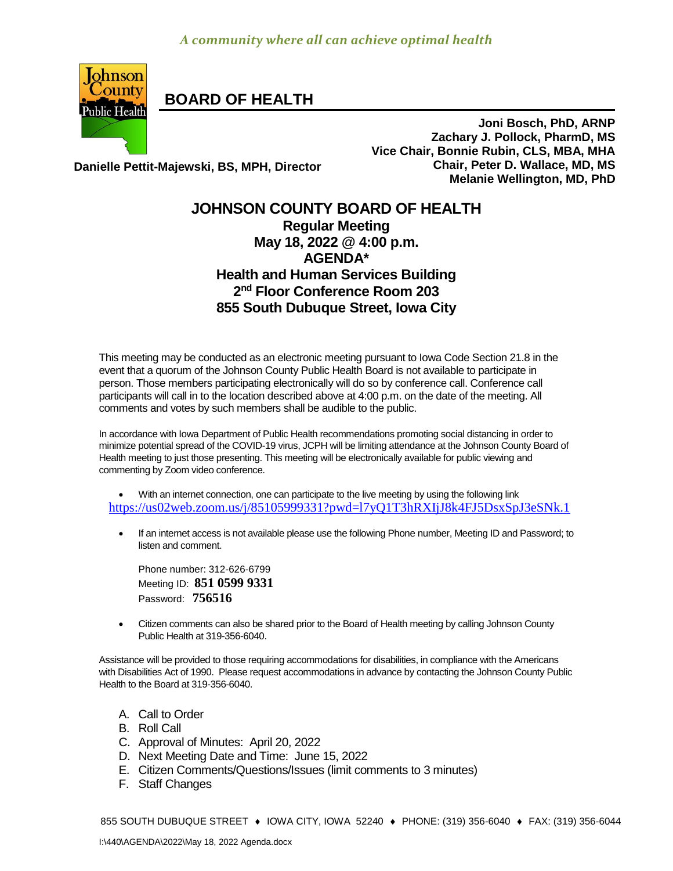

**BOARD OF HEALTH**

**Joni Bosch, PhD, ARNP Zachary J. Pollock, PharmD, MS Vice Chair, Bonnie Rubin, CLS, MBA, MHA Chair, Peter D. Wallace, MD, MS Melanie Wellington, MD, PhD**

**Danielle Pettit-Majewski, BS, MPH, Director**

## **JOHNSON COUNTY BOARD OF HEALTH Regular Meeting May 18, 2022 @ 4:00 p.m. AGENDA\* Health and Human Services Building 2 nd Floor Conference Room 203 855 South Dubuque Street, Iowa City**

This meeting may be conducted as an electronic meeting pursuant to Iowa Code Section 21.8 in the event that a quorum of the Johnson County Public Health Board is not available to participate in person. Those members participating electronically will do so by conference call. Conference call participants will call in to the location described above at 4:00 p.m. on the date of the meeting. All comments and votes by such members shall be audible to the public.

In accordance with Iowa Department of Public Health recommendations promoting social distancing in order to minimize potential spread of the COVID-19 virus, JCPH will be limiting attendance at the Johnson County Board of Health meeting to just those presenting. This meeting will be electronically available for public viewing and commenting by Zoom video conference.

- With an internet connection, one can participate to the live meeting by using the following link <https://us02web.zoom.us/j/85105999331?pwd=l7yQ1T3hRXIjJ8k4FJ5DsxSpJ3eSNk.1>
	- If an internet access is not available please use the following Phone number, Meeting ID and Password; to listen and comment.

Phone number: 312-626-6799 Meeting ID: **851 0599 9331** Password: **756516**

 [Citizen](http://citizen/) comments can also be shared prior to the Board of Health meeting by calling Johnson County Public Health at 319-356-6040.

Assistance will be provided to those requiring accommodations for disabilities, in compliance with the Americans with Disabilities Act of 1990. Please request accommodations in advance by contacting the Johnson County Public Health to the Board at 319-356-6040.

- A. Call to Order
- B. Roll Call
- C. Approval of Minutes: April 20, 2022
- D. Next Meeting Date and Time: June 15, 2022
- E. Citizen Comments/Questions/Issues (limit comments to 3 minutes)
- F. Staff Changes

855 SOUTH DUBUQUE STREET ♦ IOWA CITY, IOWA 52240 ♦ PHONE: (319) 356-6040 ♦ FAX: (319) 356-6044